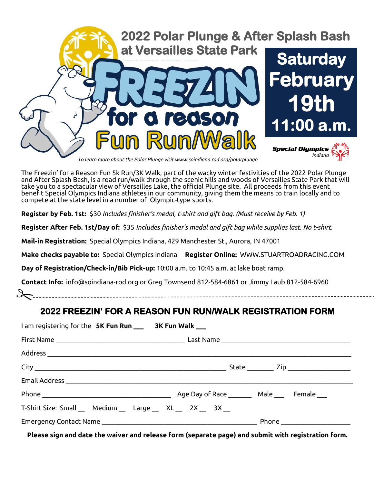

*To learn more about the Polar Plunge visit www.soindiana.rod.org/polarplunge*

The Freezin' for a Reason Fun 5k Run/3K Walk, part of the wacky winter festivities of the 2022 Polar Plunge and After Splash Bash, is a road run/walk through the scenic hills and woods of Versailles State Park that will take you to a spectacular view of Versailles Lake, the official Plunge site. All proceeds from this event benefit Special Olympics Indiana athletes in our community, giving them the means to train locally and to compete at the state level in a number of Olympic-type sports.

**Register by Feb. 1st:** \$30 *Includes finisher's medal, t-shirt and gift bag. (Must receive by Feb. 1)*

**Register After Feb. 1st/Day of:** \$35 *Includes finisher's medal and gift bag while supplies last. No t-shirt.*

**Mail-in Registration:** Special Olympics Indiana, 429 Manchester St., Aurora, IN 47001

**Make checks payable to:** Special Olympics Indiana **Register Online:** WWW.STUARTROADRACING.COM

**Day of Registration/Check-in/Bib Pick-up:** 10:00 a.m. to 10:45 a.m. at lake boat ramp.

**Contact Info:** info@soindiana-rod.org or Greg Townsend 812-584-6861 or Jimmy Laub 812-584-6960

## **2022 FREEZIN' FOR A REASON FUN RUN/WALK REGISTRATION FORM**

| I am registering for the 5K Fun Run __ 3K Fun Walk __       |  |
|-------------------------------------------------------------|--|
|                                                             |  |
|                                                             |  |
|                                                             |  |
|                                                             |  |
|                                                             |  |
| T-Shirt Size: Small __ Medium __ Large __ XL __ 2X __ 3X __ |  |
|                                                             |  |

**Please sign and date the waiver and release form (separate page) and submit with registration form.**